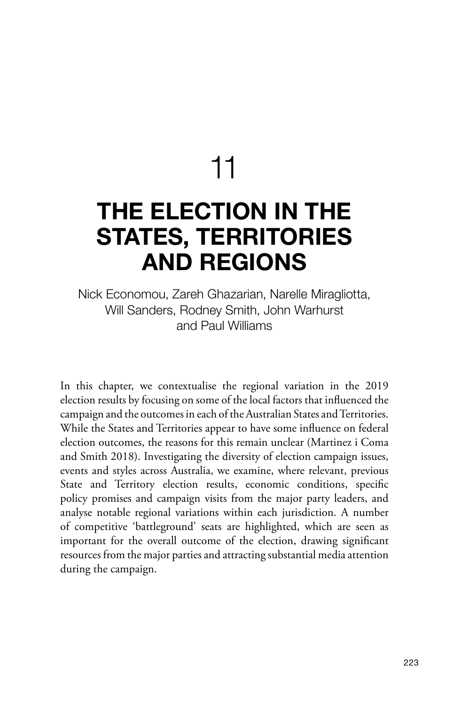11

# **THE ELECTION IN THE STATES, TERRITORIES AND REGIONS**

Nick Economou, Zareh Ghazarian, Narelle Miragliotta, Will Sanders, Rodney Smith, John Warhurst and Paul Williams

In this chapter, we contextualise the regional variation in the 2019 election results by focusing on some of the local factors that influenced the campaign and the outcomes in each of the Australian States and Territories. While the States and Territories appear to have some influence on federal election outcomes, the reasons for this remain unclear (Martinez i Coma and Smith 2018). Investigating the diversity of election campaign issues, events and styles across Australia, we examine, where relevant, previous State and Territory election results, economic conditions, specific policy promises and campaign visits from the major party leaders, and analyse notable regional variations within each jurisdiction. A number of competitive 'battleground' seats are highlighted, which are seen as important for the overall outcome of the election, drawing significant resources from the major parties and attracting substantial media attention during the campaign.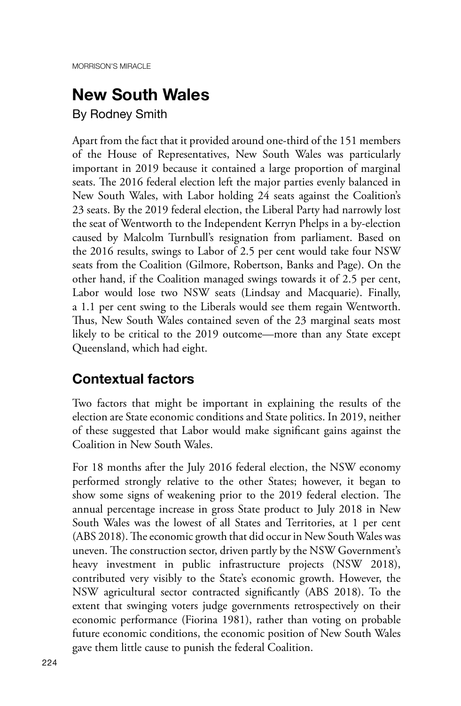### **New South Wales**

By Rodney Smith

Apart from the fact that it provided around one-third of the 151 members of the House of Representatives, New South Wales was particularly important in 2019 because it contained a large proportion of marginal seats. The 2016 federal election left the major parties evenly balanced in New South Wales, with Labor holding 24 seats against the Coalition's 23 seats. By the 2019 federal election, the Liberal Party had narrowly lost the seat of Wentworth to the Independent Kerryn Phelps in a by-election caused by Malcolm Turnbull's resignation from parliament. Based on the 2016 results, swings to Labor of 2.5 per cent would take four NSW seats from the Coalition (Gilmore, Robertson, Banks and Page). On the other hand, if the Coalition managed swings towards it of 2.5 per cent, Labor would lose two NSW seats (Lindsay and Macquarie). Finally, a 1.1 per cent swing to the Liberals would see them regain Wentworth. Thus, New South Wales contained seven of the 23 marginal seats most likely to be critical to the 2019 outcome—more than any State except Queensland, which had eight.

### **Contextual factors**

Two factors that might be important in explaining the results of the election are State economic conditions and State politics. In 2019, neither of these suggested that Labor would make significant gains against the Coalition in New South Wales.

For 18 months after the July 2016 federal election, the NSW economy performed strongly relative to the other States; however, it began to show some signs of weakening prior to the 2019 federal election. The annual percentage increase in gross State product to July 2018 in New South Wales was the lowest of all States and Territories, at 1 per cent (ABS 2018). The economic growth that did occur in New South Wales was uneven. The construction sector, driven partly by the NSW Government's heavy investment in public infrastructure projects (NSW 2018), contributed very visibly to the State's economic growth. However, the NSW agricultural sector contracted significantly (ABS 2018). To the extent that swinging voters judge governments retrospectively on their economic performance (Fiorina 1981), rather than voting on probable future economic conditions, the economic position of New South Wales gave them little cause to punish the federal Coalition.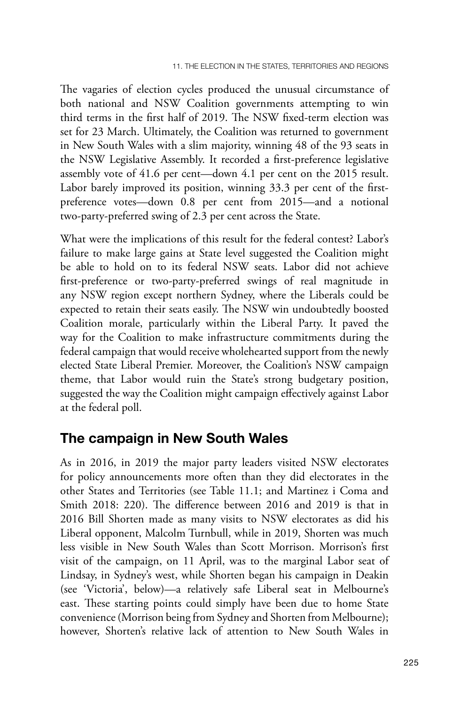The vagaries of election cycles produced the unusual circumstance of both national and NSW Coalition governments attempting to win third terms in the first half of 2019. The NSW fixed-term election was set for 23 March. Ultimately, the Coalition was returned to government in New South Wales with a slim majority, winning 48 of the 93 seats in the NSW Legislative Assembly. It recorded a first-preference legislative assembly vote of 41.6 per cent—down 4.1 per cent on the 2015 result. Labor barely improved its position, winning 33.3 per cent of the firstpreference votes—down 0.8 per cent from 2015—and a notional two-party-preferred swing of 2.3 per cent across the State.

What were the implications of this result for the federal contest? Labor's failure to make large gains at State level suggested the Coalition might be able to hold on to its federal NSW seats. Labor did not achieve first-preference or two-party-preferred swings of real magnitude in any NSW region except northern Sydney, where the Liberals could be expected to retain their seats easily. The NSW win undoubtedly boosted Coalition morale, particularly within the Liberal Party. It paved the way for the Coalition to make infrastructure commitments during the federal campaign that would receive wholehearted support from the newly elected State Liberal Premier. Moreover, the Coalition's NSW campaign theme, that Labor would ruin the State's strong budgetary position, suggested the way the Coalition might campaign effectively against Labor at the federal poll.

#### **The campaign in New South Wales**

As in 2016, in 2019 the major party leaders visited NSW electorates for policy announcements more often than they did electorates in the other States and Territories (see Table 11.1; and Martinez i Coma and Smith 2018: 220). The difference between 2016 and 2019 is that in 2016 Bill Shorten made as many visits to NSW electorates as did his Liberal opponent, Malcolm Turnbull, while in 2019, Shorten was much less visible in New South Wales than Scott Morrison. Morrison's first visit of the campaign, on 11 April, was to the marginal Labor seat of Lindsay, in Sydney's west, while Shorten began his campaign in Deakin (see 'Victoria', below)—a relatively safe Liberal seat in Melbourne's east. These starting points could simply have been due to home State convenience (Morrison being from Sydney and Shorten from Melbourne); however, Shorten's relative lack of attention to New South Wales in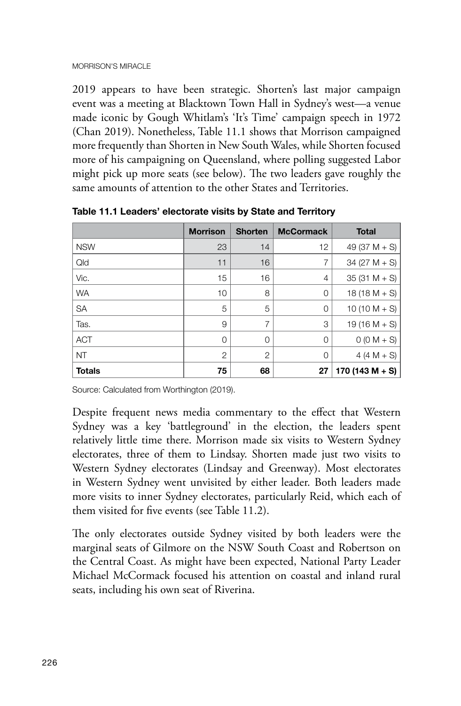2019 appears to have been strategic. Shorten's last major campaign event was a meeting at Blacktown Town Hall in Sydney's west—a venue made iconic by Gough Whitlam's 'It's Time' campaign speech in 1972 (Chan 2019). Nonetheless, Table 11.1 shows that Morrison campaigned more frequently than Shorten in New South Wales, while Shorten focused more of his campaigning on Queensland, where polling suggested Labor might pick up more seats (see below). The two leaders gave roughly the same amounts of attention to the other States and Territories.

|               | <b>Morrison</b> | <b>Shorten</b> | <b>McCormack</b> | <b>Total</b>    |
|---------------|-----------------|----------------|------------------|-----------------|
| <b>NSW</b>    | 23              | 14             | 12               | 49 (37 M $+$ S) |
| Qld           | 11              | 16             | 7                | $34 (27 M + S)$ |
| Vic.          | 15              | 16             | $\overline{4}$   | $35(31 M + S)$  |
| <b>WA</b>     | 10              | 8              | $\mathbf 0$      | $18(18 M + S)$  |
| <b>SA</b>     | 5               | 5              | $\mathbf 0$      | $10(10 M + S)$  |
| Tas.          | 9               | $\overline{7}$ | 3                | $19(16 M + S)$  |
| <b>ACT</b>    | $\overline{0}$  | 0              | $\mathbf 0$      | $0 (0 M + S)$   |
| <b>NT</b>     | $\overline{2}$  | $\overline{2}$ | 0                | $4 (4 M + S)$   |
| <b>Totals</b> | 75              | 68             | 27               | 170 (143 M + S) |

**Table 11.1 Leaders' electorate visits by State and Territory**

Source: Calculated from Worthington (2019).

Despite frequent news media commentary to the effect that Western Sydney was a key 'battleground' in the election, the leaders spent relatively little time there. Morrison made six visits to Western Sydney electorates, three of them to Lindsay. Shorten made just two visits to Western Sydney electorates (Lindsay and Greenway). Most electorates in Western Sydney went unvisited by either leader. Both leaders made more visits to inner Sydney electorates, particularly Reid, which each of them visited for five events (see Table 11.2).

The only electorates outside Sydney visited by both leaders were the marginal seats of Gilmore on the NSW South Coast and Robertson on the Central Coast. As might have been expected, National Party Leader Michael McCormack focused his attention on coastal and inland rural seats, including his own seat of Riverina.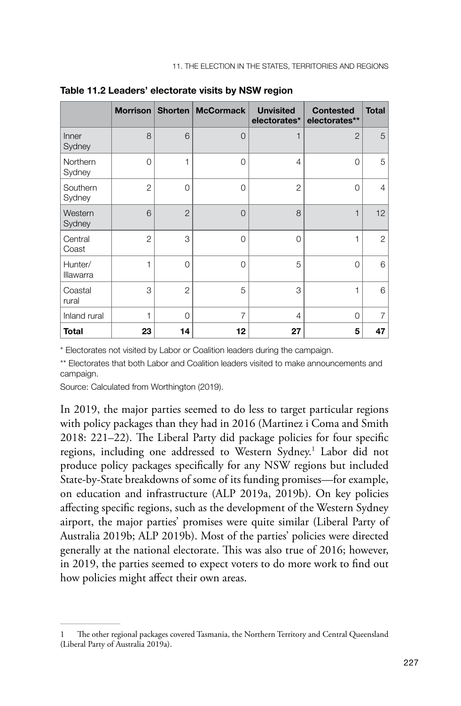|                      | <b>Morrison</b> | Shorten        | <b>McCormack</b> | <b>Unvisited</b><br>electorates* | <b>Contested</b><br>electorates** | <b>Total</b>   |
|----------------------|-----------------|----------------|------------------|----------------------------------|-----------------------------------|----------------|
| Inner<br>Sydney      | 8               | 6              | $\Omega$         | 1                                | $\overline{2}$                    | 5              |
| Northern<br>Sydney   | 0               | 1              | $\Omega$         | $\overline{4}$                   | 0                                 | 5              |
| Southern<br>Sydney   | $\overline{c}$  | $\overline{O}$ | $\Omega$         | $\overline{2}$                   | 0                                 | 4              |
| Western<br>Sydney    | 6               | $\overline{2}$ | $\Omega$         | 8                                | $\mathbf{1}$                      | 12             |
| Central<br>Coast     | 2               | 3              | $\overline{0}$   | 0                                | 1                                 | $\overline{2}$ |
| Hunter/<br>Illawarra | 1               | $\overline{O}$ | $\Omega$         | 5                                | $\Omega$                          | 6              |
| Coastal<br>rural     | 3               | $\overline{2}$ | 5                | 3                                | 1                                 | 6              |
| Inland rural         | 1               | $\Omega$       | $\overline{7}$   | $\overline{4}$                   | $\Omega$                          | 7              |
| <b>Total</b>         | 23              | 14             | 12               | 27                               | 5                                 | 47             |

**Table 11.2 Leaders' electorate visits by NSW region**

\* Electorates not visited by Labor or Coalition leaders during the campaign.

\*\* Electorates that both Labor and Coalition leaders visited to make announcements and campaign.

Source: Calculated from Worthington (2019).

In 2019, the major parties seemed to do less to target particular regions with policy packages than they had in 2016 (Martinez i Coma and Smith 2018: 221–22). The Liberal Party did package policies for four specific regions, including one addressed to Western Sydney.<sup>1</sup> Labor did not produce policy packages specifically for any NSW regions but included State-by-State breakdowns of some of its funding promises—for example, on education and infrastructure (ALP 2019a, 2019b). On key policies affecting specific regions, such as the development of the Western Sydney airport, the major parties' promises were quite similar (Liberal Party of Australia 2019b; ALP 2019b). Most of the parties' policies were directed generally at the national electorate. This was also true of 2016; however, in 2019, the parties seemed to expect voters to do more work to find out how policies might affect their own areas.

<sup>1</sup> The other regional packages covered Tasmania, the Northern Territory and Central Queensland (Liberal Party of Australia 2019a).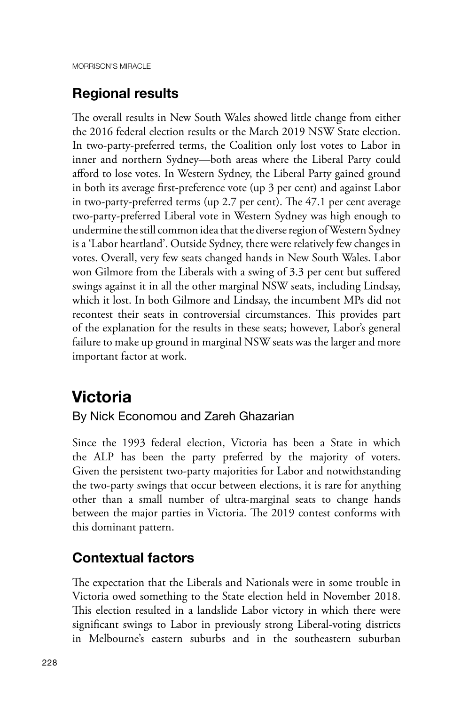### **Regional results**

The overall results in New South Wales showed little change from either the 2016 federal election results or the March 2019 NSW State election. In two-party-preferred terms, the Coalition only lost votes to Labor in inner and northern Sydney—both areas where the Liberal Party could afford to lose votes. In Western Sydney, the Liberal Party gained ground in both its average first-preference vote (up 3 per cent) and against Labor in two-party-preferred terms (up 2.7 per cent). The 47.1 per cent average two-party-preferred Liberal vote in Western Sydney was high enough to undermine the still common idea that the diverse region of Western Sydney is a 'Labor heartland'. Outside Sydney, there were relatively few changes in votes. Overall, very few seats changed hands in New South Wales. Labor won Gilmore from the Liberals with a swing of 3.3 per cent but suffered swings against it in all the other marginal NSW seats, including Lindsay, which it lost. In both Gilmore and Lindsay, the incumbent MPs did not recontest their seats in controversial circumstances. This provides part of the explanation for the results in these seats; however, Labor's general failure to make up ground in marginal NSW seats was the larger and more important factor at work.

## **Victoria**

#### By Nick Economou and Zareh Ghazarian

Since the 1993 federal election, Victoria has been a State in which the ALP has been the party preferred by the majority of voters. Given the persistent two-party majorities for Labor and notwithstanding the two-party swings that occur between elections, it is rare for anything other than a small number of ultra-marginal seats to change hands between the major parties in Victoria. The 2019 contest conforms with this dominant pattern.

### **Contextual factors**

The expectation that the Liberals and Nationals were in some trouble in Victoria owed something to the State election held in November 2018. This election resulted in a landslide Labor victory in which there were significant swings to Labor in previously strong Liberal-voting districts in Melbourne's eastern suburbs and in the southeastern suburban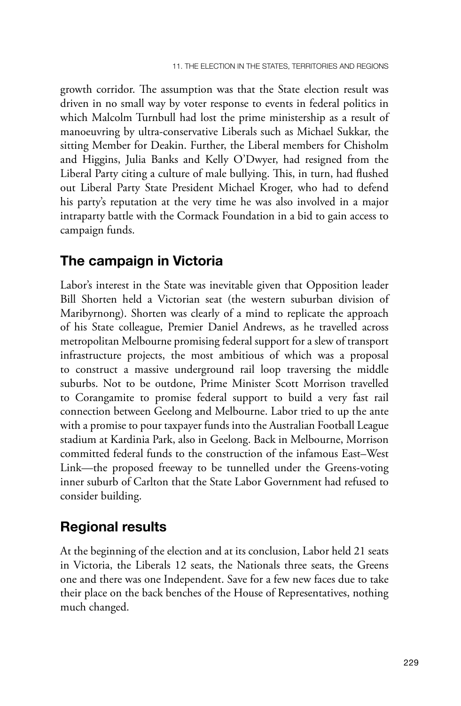growth corridor. The assumption was that the State election result was driven in no small way by voter response to events in federal politics in which Malcolm Turnbull had lost the prime ministership as a result of manoeuvring by ultra-conservative Liberals such as Michael Sukkar, the sitting Member for Deakin. Further, the Liberal members for Chisholm and Higgins, Julia Banks and Kelly O'Dwyer, had resigned from the Liberal Party citing a culture of male bullying. This, in turn, had flushed out Liberal Party State President Michael Kroger, who had to defend his party's reputation at the very time he was also involved in a major intraparty battle with the Cormack Foundation in a bid to gain access to campaign funds.

#### **The campaign in Victoria**

Labor's interest in the State was inevitable given that Opposition leader Bill Shorten held a Victorian seat (the western suburban division of Maribyrnong). Shorten was clearly of a mind to replicate the approach of his State colleague, Premier Daniel Andrews, as he travelled across metropolitan Melbourne promising federal support for a slew of transport infrastructure projects, the most ambitious of which was a proposal to construct a massive underground rail loop traversing the middle suburbs. Not to be outdone, Prime Minister Scott Morrison travelled to Corangamite to promise federal support to build a very fast rail connection between Geelong and Melbourne. Labor tried to up the ante with a promise to pour taxpayer funds into the Australian Football League stadium at Kardinia Park, also in Geelong. Back in Melbourne, Morrison committed federal funds to the construction of the infamous East–West Link—the proposed freeway to be tunnelled under the Greens-voting inner suburb of Carlton that the State Labor Government had refused to consider building.

### **Regional results**

At the beginning of the election and at its conclusion, Labor held 21 seats in Victoria, the Liberals 12 seats, the Nationals three seats, the Greens one and there was one Independent. Save for a few new faces due to take their place on the back benches of the House of Representatives, nothing much changed.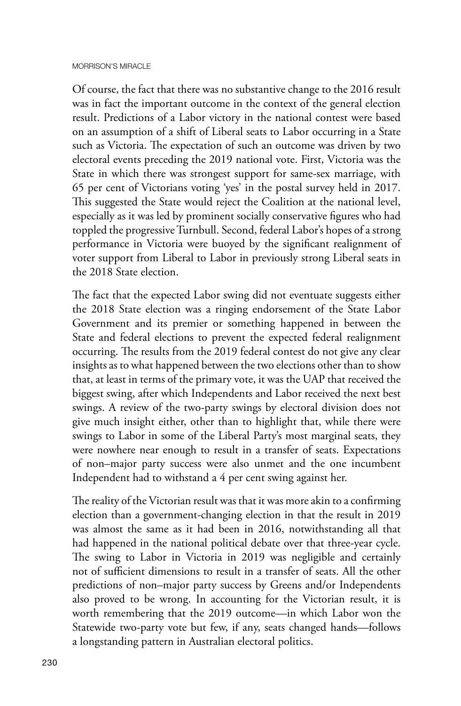Of course, the fact that there was no substantive change to the 2016 result was in fact the important outcome in the context of the general election result. Predictions of a Labor victory in the national contest were based on an assumption of a shift of Liberal seats to Labor occurring in a State such as Victoria. The expectation of such an outcome was driven by two electoral events preceding the 2019 national vote. First, Victoria was the State in which there was strongest support for same-sex marriage, with 65 per cent of Victorians voting 'yes' in the postal survey held in 2017. This suggested the State would reject the Coalition at the national level, especially as it was led by prominent socially conservative figures who had toppled the progressive Turnbull. Second, federal Labor's hopes of a strong performance in Victoria were buoyed by the significant realignment of voter support from Liberal to Labor in previously strong Liberal seats in the 2018 State election.

The fact that the expected Labor swing did not eventuate suggests either the 2018 State election was a ringing endorsement of the State Labor Government and its premier or something happened in between the State and federal elections to prevent the expected federal realignment occurring. The results from the 2019 federal contest do not give any clear insights as to what happened between the two elections other than to show that, at least in terms of the primary vote, it was the UAP that received the biggest swing, after which Independents and Labor received the next best swings. A review of the two-party swings by electoral division does not give much insight either, other than to highlight that, while there were swings to Labor in some of the Liberal Party's most marginal seats, they were nowhere near enough to result in a transfer of seats. Expectations of non–major party success were also unmet and the one incumbent Independent had to withstand a 4 per cent swing against her.

The reality of the Victorian result was that it was more akin to a confirming election than a government-changing election in that the result in 2019 was almost the same as it had been in 2016, notwithstanding all that had happened in the national political debate over that three-year cycle. The swing to Labor in Victoria in 2019 was negligible and certainly not of sufficient dimensions to result in a transfer of seats. All the other predictions of non–major party success by Greens and/or Independents also proved to be wrong. In accounting for the Victorian result, it is worth remembering that the 2019 outcome—in which Labor won the Statewide two-party vote but few, if any, seats changed hands—follows a longstanding pattern in Australian electoral politics.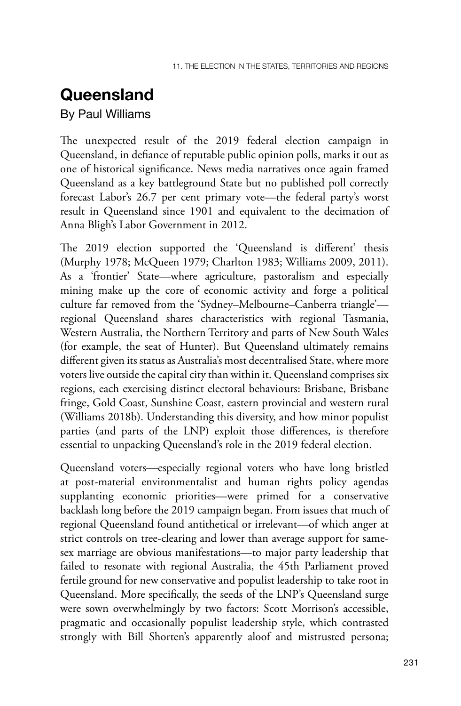### **Queensland**

By Paul Williams

The unexpected result of the 2019 federal election campaign in Queensland, in defiance of reputable public opinion polls, marks it out as one of historical significance. News media narratives once again framed Queensland as a key battleground State but no published poll correctly forecast Labor's 26.7 per cent primary vote—the federal party's worst result in Queensland since 1901 and equivalent to the decimation of Anna Bligh's Labor Government in 2012.

The 2019 election supported the 'Queensland is different' thesis (Murphy 1978; McQueen 1979; Charlton 1983; Williams 2009, 2011). As a 'frontier' State—where agriculture, pastoralism and especially mining make up the core of economic activity and forge a political culture far removed from the 'Sydney–Melbourne–Canberra triangle' regional Queensland shares characteristics with regional Tasmania, Western Australia, the Northern Territory and parts of New South Wales (for example, the seat of Hunter). But Queensland ultimately remains different given its status as Australia's most decentralised State, where more voters live outside the capital city than within it. Queensland comprises six regions, each exercising distinct electoral behaviours: Brisbane, Brisbane fringe, Gold Coast, Sunshine Coast, eastern provincial and western rural (Williams 2018b). Understanding this diversity, and how minor populist parties (and parts of the LNP) exploit those differences, is therefore essential to unpacking Queensland's role in the 2019 federal election.

Queensland voters—especially regional voters who have long bristled at post-material environmentalist and human rights policy agendas supplanting economic priorities—were primed for a conservative backlash long before the 2019 campaign began. From issues that much of regional Queensland found antithetical or irrelevant—of which anger at strict controls on tree-clearing and lower than average support for samesex marriage are obvious manifestations—to major party leadership that failed to resonate with regional Australia, the 45th Parliament proved fertile ground for new conservative and populist leadership to take root in Queensland. More specifically, the seeds of the LNP's Queensland surge were sown overwhelmingly by two factors: Scott Morrison's accessible, pragmatic and occasionally populist leadership style, which contrasted strongly with Bill Shorten's apparently aloof and mistrusted persona;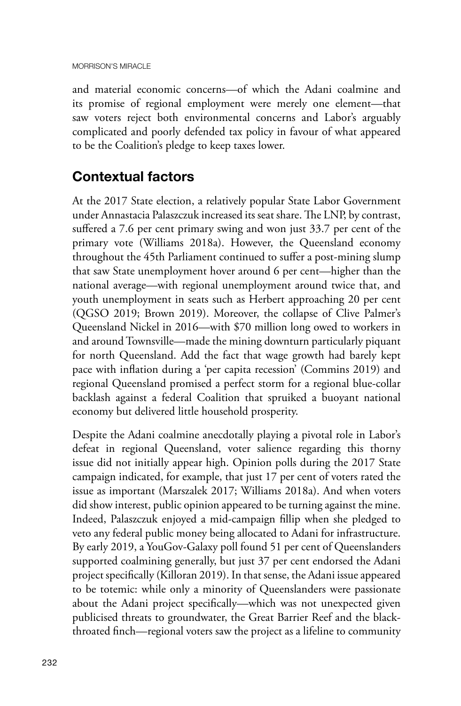and material economic concerns—of which the Adani coalmine and its promise of regional employment were merely one element—that saw voters reject both environmental concerns and Labor's arguably complicated and poorly defended tax policy in favour of what appeared to be the Coalition's pledge to keep taxes lower.

### **Contextual factors**

At the 2017 State election, a relatively popular State Labor Government under Annastacia Palaszczuk increased its seat share. The LNP, by contrast, suffered a 7.6 per cent primary swing and won just 33.7 per cent of the primary vote (Williams 2018a). However, the Queensland economy throughout the 45th Parliament continued to suffer a post-mining slump that saw State unemployment hover around 6 per cent—higher than the national average—with regional unemployment around twice that, and youth unemployment in seats such as Herbert approaching 20 per cent (QGSO 2019; Brown 2019). Moreover, the collapse of Clive Palmer's Queensland Nickel in 2016—with \$70 million long owed to workers in and around Townsville—made the mining downturn particularly piquant for north Queensland. Add the fact that wage growth had barely kept pace with inflation during a 'per capita recession' (Commins 2019) and regional Queensland promised a perfect storm for a regional blue-collar backlash against a federal Coalition that spruiked a buoyant national economy but delivered little household prosperity.

Despite the Adani coalmine anecdotally playing a pivotal role in Labor's defeat in regional Queensland, voter salience regarding this thorny issue did not initially appear high. Opinion polls during the 2017 State campaign indicated, for example, that just 17 per cent of voters rated the issue as important (Marszalek 2017; Williams 2018a). And when voters did show interest, public opinion appeared to be turning against the mine. Indeed, Palaszczuk enjoyed a mid-campaign fillip when she pledged to veto any federal public money being allocated to Adani for infrastructure. By early 2019, a YouGov-Galaxy poll found 51 per cent of Queenslanders supported coalmining generally, but just 37 per cent endorsed the Adani project specifically (Killoran 2019). In that sense, the Adani issue appeared to be totemic: while only a minority of Queenslanders were passionate about the Adani project specifically—which was not unexpected given publicised threats to groundwater, the Great Barrier Reef and the blackthroated finch—regional voters saw the project as a lifeline to community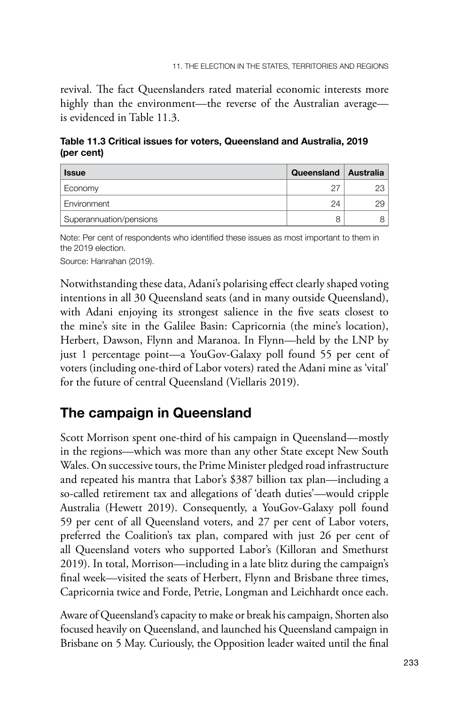revival. The fact Queenslanders rated material economic interests more highly than the environment—the reverse of the Australian average is evidenced in Table 11.3.

**Table 11.3 Critical issues for voters, Queensland and Australia, 2019 (per cent)**

| <b>Issue</b>            | Queensland   Australia |    |
|-------------------------|------------------------|----|
| Economy                 | - 27                   |    |
| Environment             | 24                     | 29 |
| Superannuation/pensions |                        |    |

Note: Per cent of respondents who identified these issues as most important to them in the 2019 election.

Source: Hanrahan (2019).

Notwithstanding these data, Adani's polarising effect clearly shaped voting intentions in all 30 Queensland seats (and in many outside Queensland), with Adani enjoying its strongest salience in the five seats closest to the mine's site in the Galilee Basin: Capricornia (the mine's location), Herbert, Dawson, Flynn and Maranoa. In Flynn—held by the LNP by just 1 percentage point—a YouGov-Galaxy poll found 55 per cent of voters (including one-third of Labor voters) rated the Adani mine as 'vital' for the future of central Queensland (Viellaris 2019).

#### **The campaign in Queensland**

Scott Morrison spent one-third of his campaign in Queensland—mostly in the regions—which was more than any other State except New South Wales. On successive tours, the Prime Minister pledged road infrastructure and repeated his mantra that Labor's \$387 billion tax plan—including a so-called retirement tax and allegations of 'death duties'—would cripple Australia (Hewett 2019). Consequently, a YouGov-Galaxy poll found 59 per cent of all Queensland voters, and 27 per cent of Labor voters, preferred the Coalition's tax plan, compared with just 26 per cent of all Queensland voters who supported Labor's (Killoran and Smethurst 2019). In total, Morrison—including in a late blitz during the campaign's final week—visited the seats of Herbert, Flynn and Brisbane three times, Capricornia twice and Forde, Petrie, Longman and Leichhardt once each.

Aware of Queensland's capacity to make or break his campaign, Shorten also focused heavily on Queensland, and launched his Queensland campaign in Brisbane on 5 May. Curiously, the Opposition leader waited until the final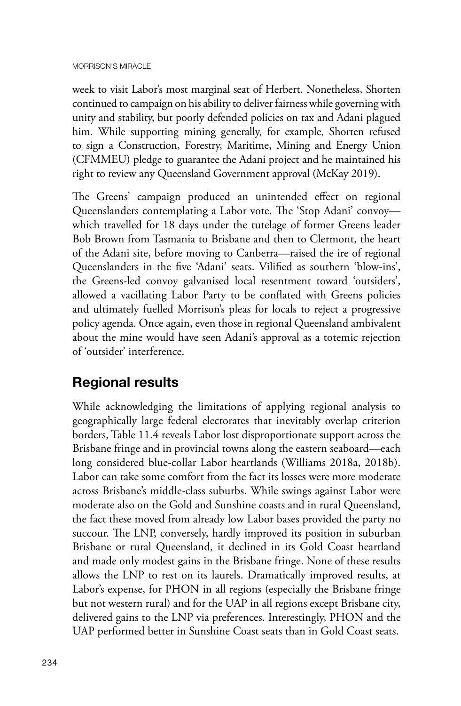week to visit Labor's most marginal seat of Herbert. Nonetheless, Shorten continued to campaign on his ability to deliver fairness while governing with unity and stability, but poorly defended policies on tax and Adani plagued him. While supporting mining generally, for example, Shorten refused to sign a Construction, Forestry, Maritime, Mining and Energy Union (CFMMEU) pledge to guarantee the Adani project and he maintained his right to review any Queensland Government approval (McKay 2019).

The Greens' campaign produced an unintended effect on regional Queenslanders contemplating a Labor vote. The 'Stop Adani' convoy which travelled for 18 days under the tutelage of former Greens leader Bob Brown from Tasmania to Brisbane and then to Clermont, the heart of the Adani site, before moving to Canberra—raised the ire of regional Queenslanders in the five 'Adani' seats. Vilified as southern 'blow-ins', the Greens-led convoy galvanised local resentment toward 'outsiders', allowed a vacillating Labor Party to be conflated with Greens policies and ultimately fuelled Morrison's pleas for locals to reject a progressive policy agenda. Once again, even those in regional Queensland ambivalent about the mine would have seen Adani's approval as a totemic rejection of 'outsider' interference.

### **Regional results**

While acknowledging the limitations of applying regional analysis to geographically large federal electorates that inevitably overlap criterion borders, Table 11.4 reveals Labor lost disproportionate support across the Brisbane fringe and in provincial towns along the eastern seaboard—each long considered blue-collar Labor heartlands (Williams 2018a, 2018b). Labor can take some comfort from the fact its losses were more moderate across Brisbane's middle-class suburbs. While swings against Labor were moderate also on the Gold and Sunshine coasts and in rural Queensland, the fact these moved from already low Labor bases provided the party no succour. The LNP, conversely, hardly improved its position in suburban Brisbane or rural Queensland, it declined in its Gold Coast heartland and made only modest gains in the Brisbane fringe. None of these results allows the LNP to rest on its laurels. Dramatically improved results, at Labor's expense, for PHON in all regions (especially the Brisbane fringe but not western rural) and for the UAP in all regions except Brisbane city, delivered gains to the LNP via preferences. Interestingly, PHON and the UAP performed better in Sunshine Coast seats than in Gold Coast seats.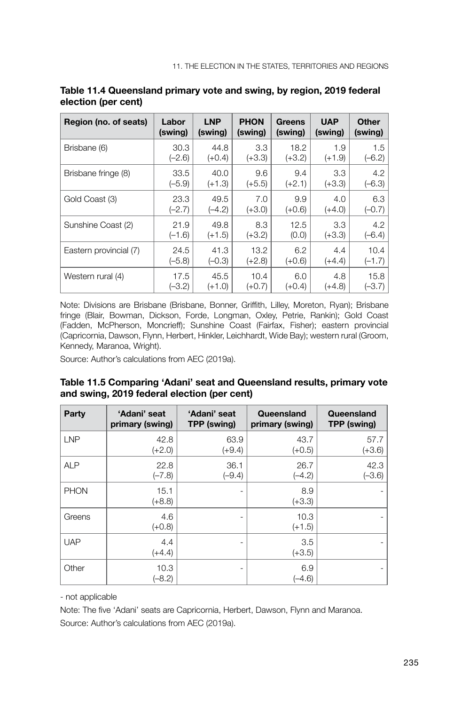| Region (no. of seats)  | Labor    | <b>LNP</b> | <b>PHON</b> | Greens   | <b>UAP</b> | Other    |
|------------------------|----------|------------|-------------|----------|------------|----------|
|                        | (swing)  | (swing)    | (swing)     | (swing)  | (swing)    | (swing)  |
| Brisbane (6)           | 30.3     | 44.8       | 3.3         | 18.2     | 1.9        | 1.5      |
|                        | $(-2.6)$ | $(+0.4)$   | $(+3.3)$    | $(+3.2)$ | $(+1.9)$   | $(-6.2)$ |
| Brisbane fringe (8)    | 33.5     | 40.0       | 9.6         | 9.4      | 3.3        | 4.2      |
|                        | $(-5.9)$ | $(+1.3)$   | $(+5.5)$    | $(+2.1)$ | $(+3.3)$   | $(-6.3)$ |
| Gold Coast (3)         | 23.3     | 49.5       | 7.0         | 9.9      | 4.0        | 6.3      |
|                        | $(-2.7)$ | $(-4.2)$   | $(+3.0)$    | $(+0.6)$ | $(+4.0)$   | $(-0.7)$ |
| Sunshine Coast (2)     | 21.9     | 49.8       | 8.3         | 12.5     | 3.3        | 4.2      |
|                        | $(-1.6)$ | $(+1.5)$   | (+3.2)      | (0.0)    | $(+3.3)$   | $(-6.4)$ |
| Eastern provincial (7) | 24.5     | 41.3       | 13.2        | 6.2      | 4.4        | 10.4     |
|                        | $(-5.8)$ | $(-0.3)$   | $(+2.8)$    | $(+0.6)$ | $(+4.4)$   | $(-1.7)$ |
| Western rural (4)      | 17.5     | 45.5       | 10.4        | 6.0      | 4.8        | 15.8     |
|                        | $(-3.2)$ | $(+1.0)$   | (+0.7)      | (+0.4)   | (+4.8)     | $(-3.7)$ |

| Table 11.4 Queensland primary vote and swing, by region, 2019 federal |  |
|-----------------------------------------------------------------------|--|
| election (per cent)                                                   |  |

Note: Divisions are Brisbane (Brisbane, Bonner, Griffith, Lilley, Moreton, Ryan); Brisbane fringe (Blair, Bowman, Dickson, Forde, Longman, Oxley, Petrie, Rankin); Gold Coast (Fadden, McPherson, Moncrieff); Sunshine Coast (Fairfax, Fisher); eastern provincial (Capricornia, Dawson, Flynn, Herbert, Hinkler, Leichhardt, Wide Bay); western rural (Groom, Kennedy, Maranoa, Wright).

Source: Author's calculations from AEC (2019a).

#### **Table 11.5 Comparing 'Adani' seat and Queensland results, primary vote and swing, 2019 federal election (per cent)**

| Party       | 'Adani' seat<br>primary (swing) | 'Adani' seat<br>TPP (swing) | Queensland<br>primary (swing) | Queensland<br>TPP (swing) |
|-------------|---------------------------------|-----------------------------|-------------------------------|---------------------------|
| <b>LNP</b>  | 42.8<br>$(+2.0)$                | 63.9<br>$(+9.4)$            | 43.7<br>$(+0.5)$              | 57.7<br>$(+3.6)$          |
| <b>ALP</b>  | 22.8<br>$(-7.8)$                | 36.1<br>$(-9.4)$            | 26.7<br>$(-4.2)$              | 42.3<br>$(-3.6)$          |
| <b>PHON</b> | 15.1<br>$(+8.8)$                | ٠                           | 8.9<br>$(+3.3)$               |                           |
| Greens      | 4.6<br>$(+0.8)$                 | ٠                           | 10.3<br>$(+1.5)$              |                           |
| <b>UAP</b>  | 4.4<br>$(+4.4)$                 | ٠                           | 3.5<br>$(+3.5)$               |                           |
| Other       | 10.3<br>$(-8.2)$                |                             | 6.9<br>$(-4.6)$               |                           |

- not applicable

Note: The five 'Adani' seats are Capricornia, Herbert, Dawson, Flynn and Maranoa. Source: Author's calculations from AEC (2019a).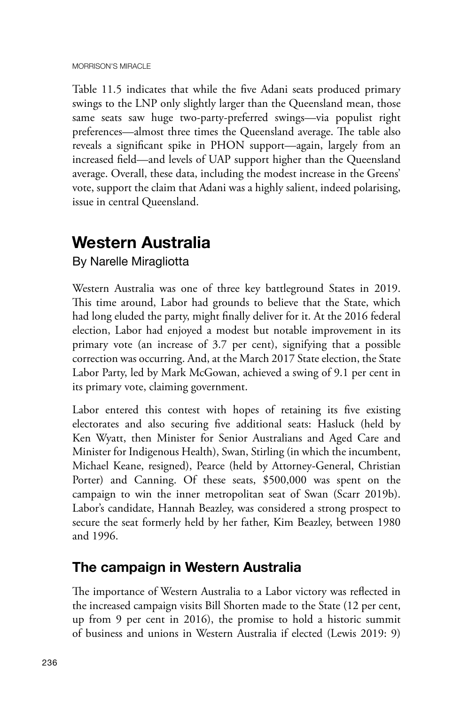Table 11.5 indicates that while the five Adani seats produced primary swings to the LNP only slightly larger than the Queensland mean, those same seats saw huge two-party-preferred swings—via populist right preferences—almost three times the Queensland average. The table also reveals a significant spike in PHON support—again, largely from an increased field—and levels of UAP support higher than the Queensland average. Overall, these data, including the modest increase in the Greens' vote, support the claim that Adani was a highly salient, indeed polarising, issue in central Queensland.

### **Western Australia**

By Narelle Miragliotta

Western Australia was one of three key battleground States in 2019. This time around, Labor had grounds to believe that the State, which had long eluded the party, might finally deliver for it. At the 2016 federal election, Labor had enjoyed a modest but notable improvement in its primary vote (an increase of 3.7 per cent), signifying that a possible correction was occurring. And, at the March 2017 State election, the State Labor Party, led by Mark McGowan, achieved a swing of 9.1 per cent in its primary vote, claiming government.

Labor entered this contest with hopes of retaining its five existing electorates and also securing five additional seats: Hasluck (held by Ken Wyatt, then Minister for Senior Australians and Aged Care and Minister for Indigenous Health), Swan, Stirling (in which the incumbent, Michael Keane, resigned), Pearce (held by Attorney-General, Christian Porter) and Canning. Of these seats, \$500,000 was spent on the campaign to win the inner metropolitan seat of Swan (Scarr 2019b). Labor's candidate, Hannah Beazley, was considered a strong prospect to secure the seat formerly held by her father, Kim Beazley, between 1980 and 1996.

### **The campaign in Western Australia**

The importance of Western Australia to a Labor victory was reflected in the increased campaign visits Bill Shorten made to the State (12 per cent, up from 9 per cent in 2016), the promise to hold a historic summit of business and unions in Western Australia if elected (Lewis 2019: 9)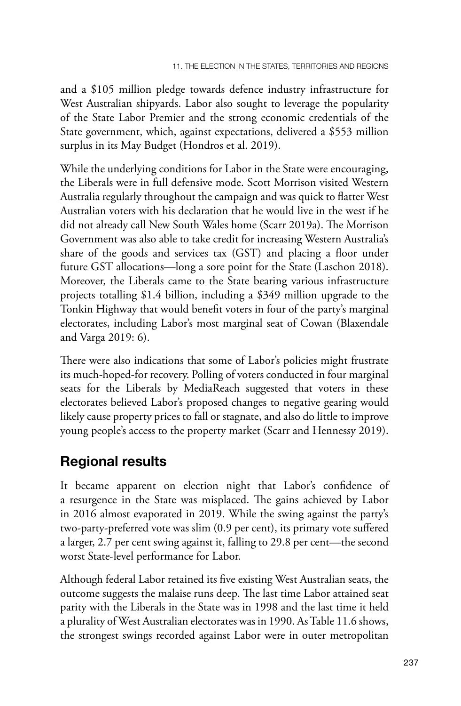and a \$105 million pledge towards defence industry infrastructure for West Australian shipyards. Labor also sought to leverage the popularity of the State Labor Premier and the strong economic credentials of the State government, which, against expectations, delivered a \$553 million surplus in its May Budget (Hondros et al. 2019).

While the underlying conditions for Labor in the State were encouraging, the Liberals were in full defensive mode. Scott Morrison visited Western Australia regularly throughout the campaign and was quick to flatter West Australian voters with his declaration that he would live in the west if he did not already call New South Wales home (Scarr 2019a). The Morrison Government was also able to take credit for increasing Western Australia's share of the goods and services tax (GST) and placing a floor under future GST allocations—long a sore point for the State (Laschon 2018). Moreover, the Liberals came to the State bearing various infrastructure projects totalling \$1.4 billion, including a \$349 million upgrade to the Tonkin Highway that would benefit voters in four of the party's marginal electorates, including Labor's most marginal seat of Cowan (Blaxendale and Varga 2019: 6).

There were also indications that some of Labor's policies might frustrate its much-hoped-for recovery. Polling of voters conducted in four marginal seats for the Liberals by MediaReach suggested that voters in these electorates believed Labor's proposed changes to negative gearing would likely cause property prices to fall or stagnate, and also do little to improve young people's access to the property market (Scarr and Hennessy 2019).

### **Regional results**

It became apparent on election night that Labor's confidence of a resurgence in the State was misplaced. The gains achieved by Labor in 2016 almost evaporated in 2019. While the swing against the party's two-party-preferred vote was slim (0.9 per cent), its primary vote suffered a larger, 2.7 per cent swing against it, falling to 29.8 per cent—the second worst State-level performance for Labor.

Although federal Labor retained its five existing West Australian seats, the outcome suggests the malaise runs deep. The last time Labor attained seat parity with the Liberals in the State was in 1998 and the last time it held a plurality of West Australian electorates was in 1990. As Table 11.6 shows, the strongest swings recorded against Labor were in outer metropolitan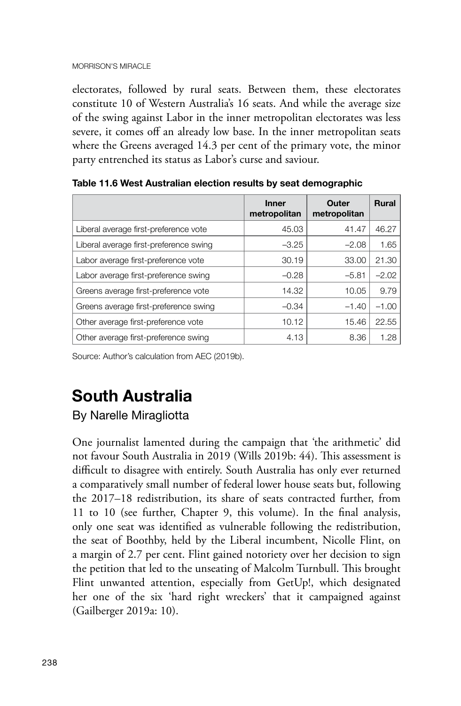electorates, followed by rural seats. Between them, these electorates constitute 10 of Western Australia's 16 seats. And while the average size of the swing against Labor in the inner metropolitan electorates was less severe, it comes off an already low base. In the inner metropolitan seats where the Greens averaged 14.3 per cent of the primary vote, the minor party entrenched its status as Labor's curse and saviour.

|                                        | <b>Inner</b><br>metropolitan | Outer<br>metropolitan | <b>Rural</b> |
|----------------------------------------|------------------------------|-----------------------|--------------|
| Liberal average first-preference vote  | 45.03                        | 41.47                 | 46.27        |
| Liberal average first-preference swing | $-3.25$                      | $-2.08$               | 1.65         |
| Labor average first-preference vote    | 30.19                        | 33.00                 | 21.30        |
| Labor average first-preference swing   | $-0.28$                      | $-5.81$               | $-2.02$      |
| Greens average first-preference vote   | 14.32                        | 10.05                 | 9.79         |
| Greens average first-preference swing  | $-0.34$                      | $-1.40$               | $-1.00$      |
| Other average first-preference vote    | 10.12                        | 15.46                 | 22.55        |
| Other average first-preference swing   | 4.13                         | 8.36                  | 1.28         |

**Table 11.6 West Australian election results by seat demographic**

Source: Author's calculation from AEC (2019b).

## **South Australia**

#### By Narelle Miragliotta

One journalist lamented during the campaign that 'the arithmetic' did not favour South Australia in 2019 (Wills 2019b: 44). This assessment is difficult to disagree with entirely. South Australia has only ever returned a comparatively small number of federal lower house seats but, following the 2017–18 redistribution, its share of seats contracted further, from 11 to 10 (see further, Chapter 9, this volume). In the final analysis, only one seat was identified as vulnerable following the redistribution, the seat of Boothby, held by the Liberal incumbent, Nicolle Flint, on a margin of 2.7 per cent. Flint gained notoriety over her decision to sign the petition that led to the unseating of Malcolm Turnbull. This brought Flint unwanted attention, especially from GetUp!, which designated her one of the six 'hard right wreckers' that it campaigned against (Gailberger 2019a: 10).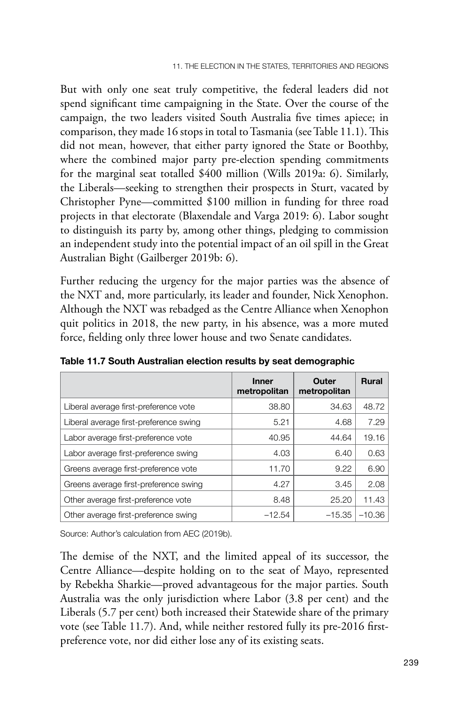But with only one seat truly competitive, the federal leaders did not spend significant time campaigning in the State. Over the course of the campaign, the two leaders visited South Australia five times apiece; in comparison, they made 16 stops in total to Tasmania (see Table 11.1). This did not mean, however, that either party ignored the State or Boothby, where the combined major party pre-election spending commitments for the marginal seat totalled \$400 million (Wills 2019a: 6). Similarly, the Liberals—seeking to strengthen their prospects in Sturt, vacated by Christopher Pyne—committed \$100 million in funding for three road projects in that electorate (Blaxendale and Varga 2019: 6). Labor sought to distinguish its party by, among other things, pledging to commission an independent study into the potential impact of an oil spill in the Great Australian Bight (Gailberger 2019b: 6).

Further reducing the urgency for the major parties was the absence of the NXT and, more particularly, its leader and founder, Nick Xenophon. Although the NXT was rebadged as the Centre Alliance when Xenophon quit politics in 2018, the new party, in his absence, was a more muted force, fielding only three lower house and two Senate candidates.

|                                        | <b>Inner</b><br>metropolitan | Outer<br>metropolitan | <b>Rural</b> |
|----------------------------------------|------------------------------|-----------------------|--------------|
| Liberal average first-preference vote  | 38.80                        | 34.63                 | 48.72        |
| Liberal average first-preference swing | 5.21                         | 4.68                  | 7.29         |
| Labor average first-preference vote    | 40.95                        | 44.64                 | 19.16        |
| Labor average first-preference swing   | 4.03                         | 6.40                  | 0.63         |
| Greens average first-preference vote   | 11.70                        | 9.22                  | 6.90         |
| Greens average first-preference swing  | 4.27                         | 3.45                  | 2.08         |
| Other average first-preference vote    | 8.48                         | 25.20                 | 11.43        |
| Other average first-preference swing   | $-12.54$                     | $-15.35$              | $-10.36$     |

**Table 11.7 South Australian election results by seat demographic**

Source: Author's calculation from AEC (2019b).

The demise of the NXT, and the limited appeal of its successor, the Centre Alliance—despite holding on to the seat of Mayo, represented by Rebekha Sharkie—proved advantageous for the major parties. South Australia was the only jurisdiction where Labor (3.8 per cent) and the Liberals (5.7 per cent) both increased their Statewide share of the primary vote (see Table 11.7). And, while neither restored fully its pre-2016 firstpreference vote, nor did either lose any of its existing seats.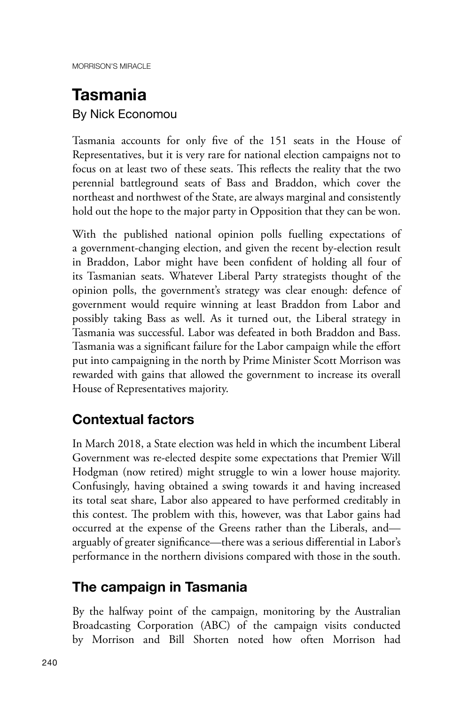# **Tasmania**

By Nick Economou

Tasmania accounts for only five of the 151 seats in the House of Representatives, but it is very rare for national election campaigns not to focus on at least two of these seats. This reflects the reality that the two perennial battleground seats of Bass and Braddon, which cover the northeast and northwest of the State, are always marginal and consistently hold out the hope to the major party in Opposition that they can be won.

With the published national opinion polls fuelling expectations of a government-changing election, and given the recent by-election result in Braddon, Labor might have been confident of holding all four of its Tasmanian seats. Whatever Liberal Party strategists thought of the opinion polls, the government's strategy was clear enough: defence of government would require winning at least Braddon from Labor and possibly taking Bass as well. As it turned out, the Liberal strategy in Tasmania was successful. Labor was defeated in both Braddon and Bass. Tasmania was a significant failure for the Labor campaign while the effort put into campaigning in the north by Prime Minister Scott Morrison was rewarded with gains that allowed the government to increase its overall House of Representatives majority.

### **Contextual factors**

In March 2018, a State election was held in which the incumbent Liberal Government was re-elected despite some expectations that Premier Will Hodgman (now retired) might struggle to win a lower house majority. Confusingly, having obtained a swing towards it and having increased its total seat share, Labor also appeared to have performed creditably in this contest. The problem with this, however, was that Labor gains had occurred at the expense of the Greens rather than the Liberals, and arguably of greater significance—there was a serious differential in Labor's performance in the northern divisions compared with those in the south.

### **The campaign in Tasmania**

By the halfway point of the campaign, monitoring by the Australian Broadcasting Corporation (ABC) of the campaign visits conducted by Morrison and Bill Shorten noted how often Morrison had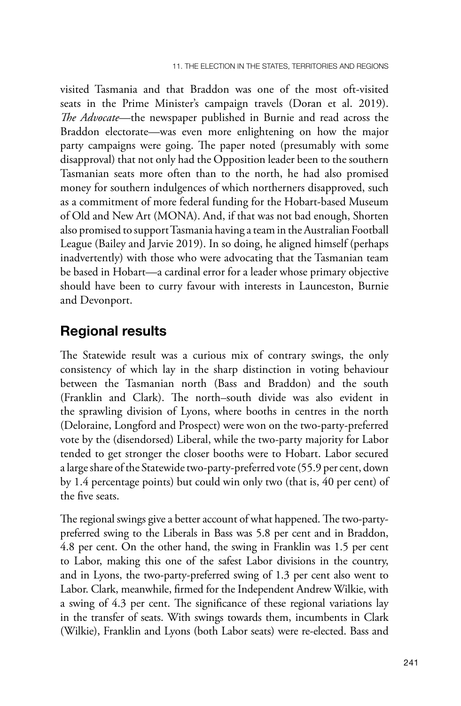visited Tasmania and that Braddon was one of the most oft-visited seats in the Prime Minister's campaign travels (Doran et al. 2019). *The Advocate*—the newspaper published in Burnie and read across the Braddon electorate—was even more enlightening on how the major party campaigns were going. The paper noted (presumably with some disapproval) that not only had the Opposition leader been to the southern Tasmanian seats more often than to the north, he had also promised money for southern indulgences of which northerners disapproved, such as a commitment of more federal funding for the Hobart-based Museum of Old and New Art (MONA). And, if that was not bad enough, Shorten also promised to support Tasmania having a team in the Australian Football League (Bailey and Jarvie 2019). In so doing, he aligned himself (perhaps inadvertently) with those who were advocating that the Tasmanian team be based in Hobart—a cardinal error for a leader whose primary objective should have been to curry favour with interests in Launceston, Burnie and Devonport.

#### **Regional results**

The Statewide result was a curious mix of contrary swings, the only consistency of which lay in the sharp distinction in voting behaviour between the Tasmanian north (Bass and Braddon) and the south (Franklin and Clark). The north–south divide was also evident in the sprawling division of Lyons, where booths in centres in the north (Deloraine, Longford and Prospect) were won on the two-party-preferred vote by the (disendorsed) Liberal, while the two-party majority for Labor tended to get stronger the closer booths were to Hobart. Labor secured a large share of the Statewide two-party-preferred vote (55.9 per cent, down by 1.4 percentage points) but could win only two (that is, 40 per cent) of the five seats.

The regional swings give a better account of what happened. The two-partypreferred swing to the Liberals in Bass was 5.8 per cent and in Braddon, 4.8 per cent. On the other hand, the swing in Franklin was 1.5 per cent to Labor, making this one of the safest Labor divisions in the country, and in Lyons, the two-party-preferred swing of 1.3 per cent also went to Labor. Clark, meanwhile, firmed for the Independent Andrew Wilkie, with a swing of 4.3 per cent. The significance of these regional variations lay in the transfer of seats. With swings towards them, incumbents in Clark (Wilkie), Franklin and Lyons (both Labor seats) were re-elected. Bass and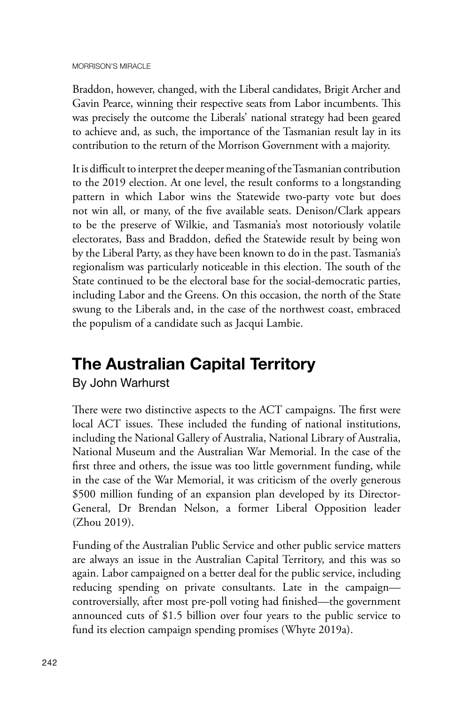Braddon, however, changed, with the Liberal candidates, Brigit Archer and Gavin Pearce, winning their respective seats from Labor incumbents. This was precisely the outcome the Liberals' national strategy had been geared to achieve and, as such, the importance of the Tasmanian result lay in its contribution to the return of the Morrison Government with a majority.

It is difficult to interpret the deeper meaning of the Tasmanian contribution to the 2019 election. At one level, the result conforms to a longstanding pattern in which Labor wins the Statewide two-party vote but does not win all, or many, of the five available seats. Denison/Clark appears to be the preserve of Wilkie, and Tasmania's most notoriously volatile electorates, Bass and Braddon, defied the Statewide result by being won by the Liberal Party, as they have been known to do in the past. Tasmania's regionalism was particularly noticeable in this election. The south of the State continued to be the electoral base for the social-democratic parties, including Labor and the Greens. On this occasion, the north of the State swung to the Liberals and, in the case of the northwest coast, embraced the populism of a candidate such as Jacqui Lambie.

## **The Australian Capital Territory**

By John Warhurst

There were two distinctive aspects to the ACT campaigns. The first were local ACT issues. These included the funding of national institutions, including the National Gallery of Australia, National Library of Australia, National Museum and the Australian War Memorial. In the case of the first three and others, the issue was too little government funding, while in the case of the War Memorial, it was criticism of the overly generous \$500 million funding of an expansion plan developed by its Director-General, Dr Brendan Nelson, a former Liberal Opposition leader (Zhou 2019).

Funding of the Australian Public Service and other public service matters are always an issue in the Australian Capital Territory, and this was so again. Labor campaigned on a better deal for the public service, including reducing spending on private consultants. Late in the campaign controversially, after most pre-poll voting had finished—the government announced cuts of \$1.5 billion over four years to the public service to fund its election campaign spending promises (Whyte 2019a).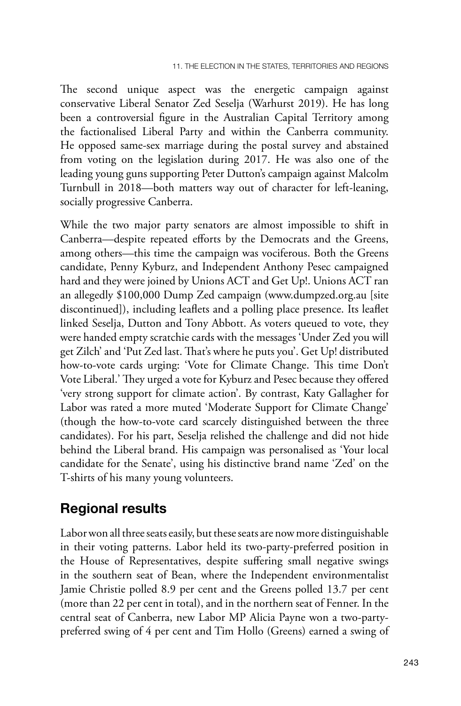The second unique aspect was the energetic campaign against conservative Liberal Senator Zed Seselja (Warhurst 2019). He has long been a controversial figure in the Australian Capital Territory among the factionalised Liberal Party and within the Canberra community. He opposed same-sex marriage during the postal survey and abstained from voting on the legislation during 2017. He was also one of the leading young guns supporting Peter Dutton's campaign against Malcolm Turnbull in 2018—both matters way out of character for left-leaning, socially progressive Canberra.

While the two major party senators are almost impossible to shift in Canberra—despite repeated efforts by the Democrats and the Greens, among others—this time the campaign was vociferous. Both the Greens candidate, Penny Kyburz, and Independent Anthony Pesec campaigned hard and they were joined by Unions ACT and Get Up!. Unions ACT ran an allegedly \$100,000 Dump Zed campaign (www.dumpzed.org.au [site discontinued]), including leaflets and a polling place presence. Its leaflet linked Seselja, Dutton and Tony Abbott. As voters queued to vote, they were handed empty scratchie cards with the messages 'Under Zed you will get Zilch' and 'Put Zed last. That's where he puts you'. Get Up! distributed how-to-vote cards urging: 'Vote for Climate Change. This time Don't Vote Liberal.' They urged a vote for Kyburz and Pesec because they offered 'very strong support for climate action'. By contrast, Katy Gallagher for Labor was rated a more muted 'Moderate Support for Climate Change' (though the how-to-vote card scarcely distinguished between the three candidates). For his part, Seselja relished the challenge and did not hide behind the Liberal brand. His campaign was personalised as 'Your local candidate for the Senate', using his distinctive brand name 'Zed' on the T-shirts of his many young volunteers.

### **Regional results**

Labor won all three seats easily, but these seats are now more distinguishable in their voting patterns. Labor held its two-party-preferred position in the House of Representatives, despite suffering small negative swings in the southern seat of Bean, where the Independent environmentalist Jamie Christie polled 8.9 per cent and the Greens polled 13.7 per cent (more than 22 per cent in total), and in the northern seat of Fenner. In the central seat of Canberra, new Labor MP Alicia Payne won a two-partypreferred swing of 4 per cent and Tim Hollo (Greens) earned a swing of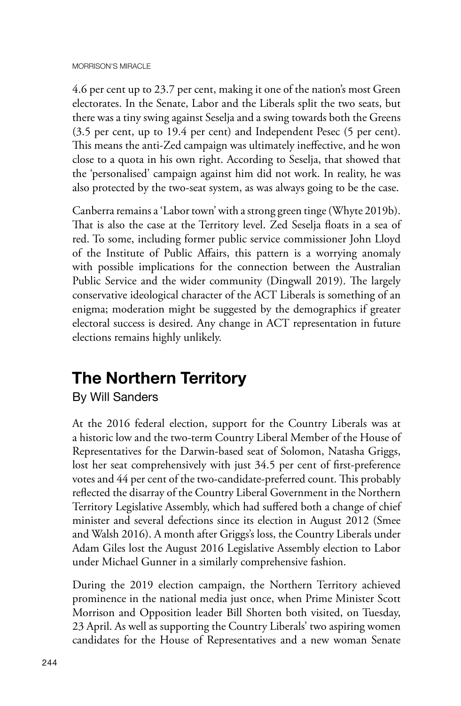4.6 per cent up to 23.7 per cent, making it one of the nation's most Green electorates. In the Senate, Labor and the Liberals split the two seats, but there was a tiny swing against Seselja and a swing towards both the Greens (3.5 per cent, up to 19.4 per cent) and Independent Pesec (5 per cent). This means the anti-Zed campaign was ultimately ineffective, and he won close to a quota in his own right. According to Seselja, that showed that the 'personalised' campaign against him did not work. In reality, he was also protected by the two-seat system, as was always going to be the case.

Canberra remains a 'Labor town' with a strong green tinge (Whyte 2019b). That is also the case at the Territory level. Zed Seselja floats in a sea of red. To some, including former public service commissioner John Lloyd of the Institute of Public Affairs, this pattern is a worrying anomaly with possible implications for the connection between the Australian Public Service and the wider community (Dingwall 2019). The largely conservative ideological character of the ACT Liberals is something of an enigma; moderation might be suggested by the demographics if greater electoral success is desired. Any change in ACT representation in future elections remains highly unlikely.

## **The Northern Territory**

By Will Sanders

At the 2016 federal election, support for the Country Liberals was at a historic low and the two-term Country Liberal Member of the House of Representatives for the Darwin-based seat of Solomon, Natasha Griggs, lost her seat comprehensively with just 34.5 per cent of first-preference votes and 44 per cent of the two-candidate-preferred count. This probably reflected the disarray of the Country Liberal Government in the Northern Territory Legislative Assembly, which had suffered both a change of chief minister and several defections since its election in August 2012 (Smee and Walsh 2016). A month after Griggs's loss, the Country Liberals under Adam Giles lost the August 2016 Legislative Assembly election to Labor under Michael Gunner in a similarly comprehensive fashion.

During the 2019 election campaign, the Northern Territory achieved prominence in the national media just once, when Prime Minister Scott Morrison and Opposition leader Bill Shorten both visited, on Tuesday, 23 April. As well as supporting the Country Liberals' two aspiring women candidates for the House of Representatives and a new woman Senate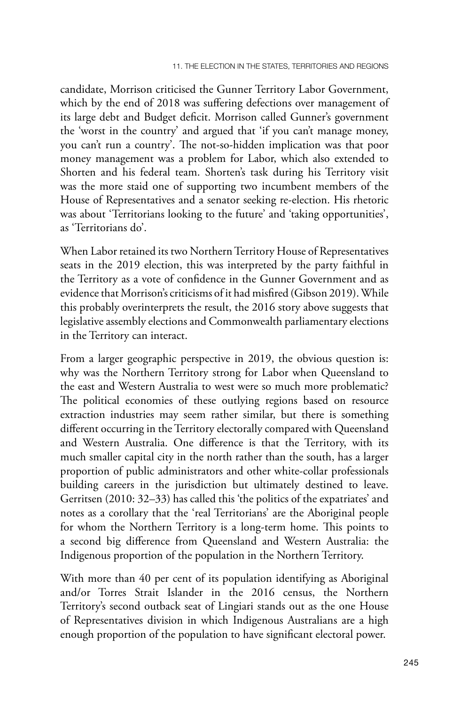candidate, Morrison criticised the Gunner Territory Labor Government, which by the end of 2018 was suffering defections over management of its large debt and Budget deficit. Morrison called Gunner's government the 'worst in the country' and argued that 'if you can't manage money, you can't run a country'. The not-so-hidden implication was that poor money management was a problem for Labor, which also extended to Shorten and his federal team. Shorten's task during his Territory visit was the more staid one of supporting two incumbent members of the House of Representatives and a senator seeking re-election. His rhetoric was about 'Territorians looking to the future' and 'taking opportunities', as 'Territorians do'.

When Labor retained its two Northern Territory House of Representatives seats in the 2019 election, this was interpreted by the party faithful in the Territory as a vote of confidence in the Gunner Government and as evidence that Morrison's criticisms of it had misfired (Gibson 2019). While this probably overinterprets the result, the 2016 story above suggests that legislative assembly elections and Commonwealth parliamentary elections in the Territory can interact.

From a larger geographic perspective in 2019, the obvious question is: why was the Northern Territory strong for Labor when Queensland to the east and Western Australia to west were so much more problematic? The political economies of these outlying regions based on resource extraction industries may seem rather similar, but there is something different occurring in the Territory electorally compared with Queensland and Western Australia. One difference is that the Territory, with its much smaller capital city in the north rather than the south, has a larger proportion of public administrators and other white-collar professionals building careers in the jurisdiction but ultimately destined to leave. Gerritsen (2010: 32–33) has called this 'the politics of the expatriates' and notes as a corollary that the 'real Territorians' are the Aboriginal people for whom the Northern Territory is a long-term home. This points to a second big difference from Queensland and Western Australia: the Indigenous proportion of the population in the Northern Territory.

With more than 40 per cent of its population identifying as Aboriginal and/or Torres Strait Islander in the 2016 census, the Northern Territory's second outback seat of Lingiari stands out as the one House of Representatives division in which Indigenous Australians are a high enough proportion of the population to have significant electoral power.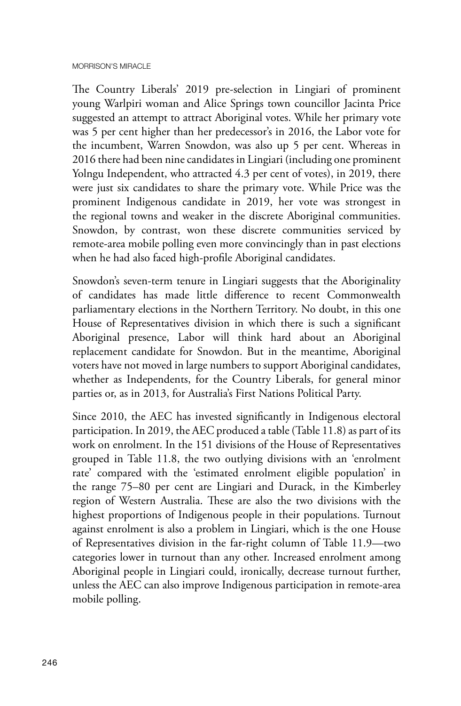The Country Liberals' 2019 pre-selection in Lingiari of prominent young Warlpiri woman and Alice Springs town councillor Jacinta Price suggested an attempt to attract Aboriginal votes. While her primary vote was 5 per cent higher than her predecessor's in 2016, the Labor vote for the incumbent, Warren Snowdon, was also up 5 per cent. Whereas in 2016 there had been nine candidates in Lingiari (including one prominent Yolngu Independent, who attracted 4.3 per cent of votes), in 2019, there were just six candidates to share the primary vote. While Price was the prominent Indigenous candidate in 2019, her vote was strongest in the regional towns and weaker in the discrete Aboriginal communities. Snowdon, by contrast, won these discrete communities serviced by remote-area mobile polling even more convincingly than in past elections when he had also faced high-profile Aboriginal candidates.

Snowdon's seven-term tenure in Lingiari suggests that the Aboriginality of candidates has made little difference to recent Commonwealth parliamentary elections in the Northern Territory. No doubt, in this one House of Representatives division in which there is such a significant Aboriginal presence, Labor will think hard about an Aboriginal replacement candidate for Snowdon. But in the meantime, Aboriginal voters have not moved in large numbers to support Aboriginal candidates, whether as Independents, for the Country Liberals, for general minor parties or, as in 2013, for Australia's First Nations Political Party.

Since 2010, the AEC has invested significantly in Indigenous electoral participation. In 2019, the AEC produced a table (Table 11.8) as part of its work on enrolment. In the 151 divisions of the House of Representatives grouped in Table 11.8, the two outlying divisions with an 'enrolment rate' compared with the 'estimated enrolment eligible population' in the range 75–80 per cent are Lingiari and Durack, in the Kimberley region of Western Australia. These are also the two divisions with the highest proportions of Indigenous people in their populations. Turnout against enrolment is also a problem in Lingiari, which is the one House of Representatives division in the far-right column of Table 11.9—two categories lower in turnout than any other. Increased enrolment among Aboriginal people in Lingiari could, ironically, decrease turnout further, unless the AEC can also improve Indigenous participation in remote-area mobile polling.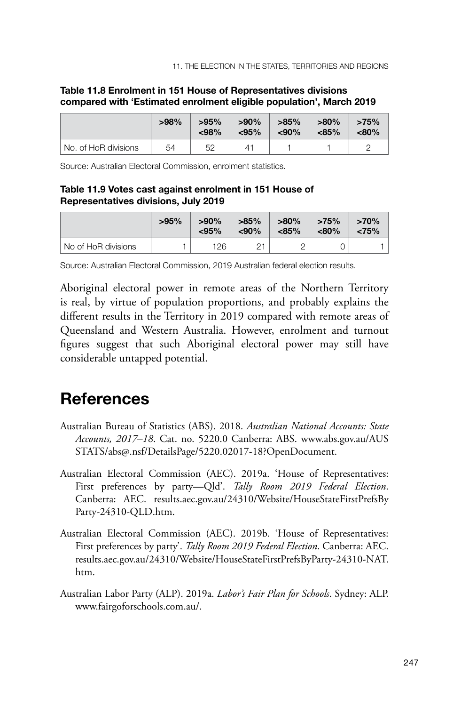11. The election in the States, Territories and regions

|                      | $>98\%$ | $>95\%$<br>< 98% | $>90\%$<br>$<$ 95% | $>85\%$<br>$90%$ | $>80\%$<br>$< 85\%$ | >75%<br><80% |
|----------------------|---------|------------------|--------------------|------------------|---------------------|--------------|
| No. of HoR divisions | 54      | 52               | 4                  |                  |                     |              |

#### **Table 11.8 Enrolment in 151 House of Representatives divisions compared with 'Estimated enrolment eligible population', March 2019**

Source: Australian Electoral Commission, enrolment statistics.

#### **Table 11.9 Votes cast against enrolment in 151 House of Representatives divisions, July 2019**

|                     | >95% | $>90\%$<br>< 95% | $>85\%$<br>$90%$ | $>80\%$<br>$< 85\%$ | >75%<br>$< 80\%$ | >70%<br>< 75% |
|---------------------|------|------------------|------------------|---------------------|------------------|---------------|
| No of HoR divisions |      | 126              | つっ               |                     |                  |               |

Source: Australian Electoral Commission, 2019 Australian federal election results.

Aboriginal electoral power in remote areas of the Northern Territory is real, by virtue of population proportions, and probably explains the different results in the Territory in 2019 compared with remote areas of Queensland and Western Australia. However, enrolment and turnout figures suggest that such Aboriginal electoral power may still have considerable untapped potential.

### **References**

- Australian Bureau of Statistics (ABS). 2018. *Australian National Accounts: State Accounts, 2017–18*. Cat. no. 5220.0 Canberra: ABS. www.abs.gov.au/AUS STATS/abs@.nsf/DetailsPage/5220.02017-18?OpenDocument.
- Australian Electoral Commission (AEC). 2019a. 'House of Representatives: First preferences by party—Qld'. *Tally Room 2019 Federal Election*. Canberra: AEC. results.aec.gov.au/24310/Website/HouseStateFirstPrefsBy Party-24310-QLD.htm.
- Australian Electoral Commission (AEC). 2019b. 'House of Representatives: First preferences by party'. *Tally Room 2019 Federal Election*. Canberra: AEC. results.aec.gov.au/24310/Website/HouseStateFirstPrefsByParty-24310-NAT. htm.
- Australian Labor Party (ALP). 2019a. *Labor's Fair Plan for Schools*. Sydney: ALP. www.fairgoforschools.com.au/.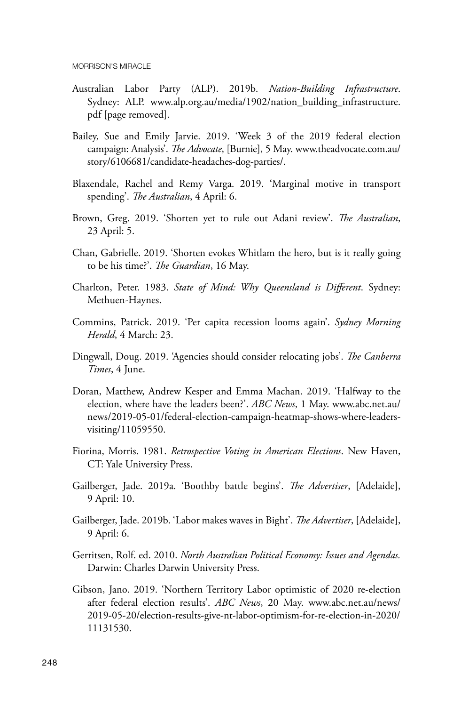- Australian Labor Party (ALP). 2019b. *Nation-Building Infrastructure*. Sydney: ALP. www.alp.org.au/media/1902/nation\_building\_infrastructure. pdf [page removed].
- Bailey, Sue and Emily Jarvie. 2019. 'Week 3 of the 2019 federal election campaign: Analysis'. *The Advocate*, [Burnie], 5 May. www.theadvocate.com.au/ story/6106681/candidate-headaches-dog-parties/.
- Blaxendale, Rachel and Remy Varga. 2019. 'Marginal motive in transport spending'. *The Australian*, 4 April: 6.
- Brown, Greg. 2019. 'Shorten yet to rule out Adani review'. *The Australian*, 23 April: 5.
- Chan, Gabrielle. 2019. 'Shorten evokes Whitlam the hero, but is it really going to be his time?'. *The Guardian*, 16 May.
- Charlton, Peter. 1983. *State of Mind: Why Queensland is Different*. Sydney: Methuen-Haynes.
- Commins, Patrick. 2019. 'Per capita recession looms again'. *Sydney Morning Herald*, 4 March: 23.
- Dingwall, Doug. 2019. 'Agencies should consider relocating jobs'. *The Canberra Times*, 4 June.
- Doran, Matthew, Andrew Kesper and Emma Machan. 2019. 'Halfway to the election, where have the leaders been?'. *ABC News*, 1 May. www.abc.net.au/ news/2019-05-01/federal-election-campaign-heatmap-shows-where-leadersvisiting/11059550.
- Fiorina, Morris. 1981. *Retrospective Voting in American Elections*. New Haven, CT: Yale University Press.
- Gailberger, Jade. 2019a. 'Boothby battle begins'. *The Advertiser*, [Adelaide], 9 April: 10.
- Gailberger, Jade. 2019b. 'Labor makes waves in Bight'. *The Advertiser*, [Adelaide], 9 April: 6.
- Gerritsen, Rolf. ed. 2010. *North Australian Political Economy: Issues and Agendas.*  Darwin: Charles Darwin University Press.
- Gibson, Jano. 2019. 'Northern Territory Labor optimistic of 2020 re-election after federal election results'. *ABC News*, 20 May. www.abc.net.au/news/ 2019-05-20/election-results-give-nt-labor-optimism-for-re-election-in-2020/ 11131530.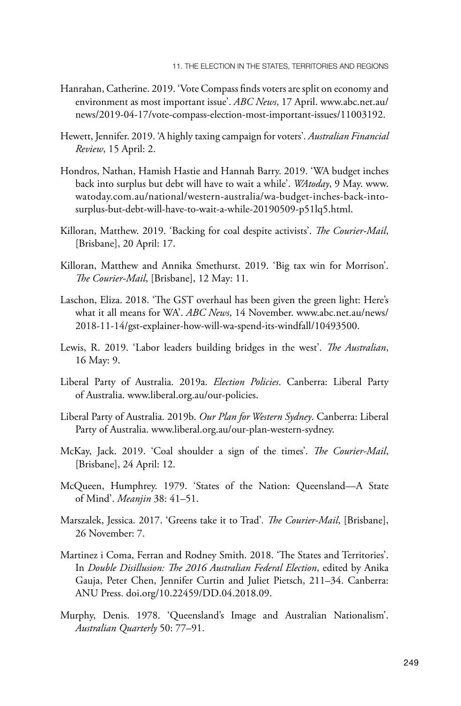- Hanrahan, Catherine. 2019. 'Vote Compass finds voters are split on economy and environment as most important issue'. *ABC News*, 17 April. www.abc.net.au/ news/2019-04-17/vote-compass-election-most-important-issues/11003192.
- Hewett, Jennifer. 2019. 'A highly taxing campaign for voters'. *Australian Financial Review*, 15 April: 2.
- Hondros, Nathan, Hamish Hastie and Hannah Barry. 2019. 'WA budget inches back into surplus but debt will have to wait a while'. *WAtoday*, 9 May. www. watoday.com.au/national/western-australia/wa-budget-inches-back-intosurplus-but-debt-will-have-to-wait-a-while-20190509-p51lq5.html.
- Killoran, Matthew. 2019. 'Backing for coal despite activists'. *The Courier-Mail*, [Brisbane], 20 April: 17.
- Killoran, Matthew and Annika Smethurst. 2019. 'Big tax win for Morrison'. *The Courier-Mail*, [Brisbane], 12 May: 11.
- Laschon, Eliza. 2018. 'The GST overhaul has been given the green light: Here's what it all means for WA'. *ABC News*, 14 November. www.abc.net.au/news/ 2018-11-14/gst-explainer-how-will-wa-spend-its-windfall/10493500.
- Lewis, R. 2019. 'Labor leaders building bridges in the west'. *The Australian*, 16 May: 9.
- Liberal Party of Australia. 2019a. *Election Policies*. Canberra: Liberal Party of Australia. www.liberal.org.au/our-policies.
- Liberal Party of Australia. 2019b. *Our Plan for Western Sydney*. Canberra: Liberal Party of Australia. www.liberal.org.au/our-plan-western-sydney.
- McKay, Jack. 2019. 'Coal shoulder a sign of the times'. *The Courier-Mail*, [Brisbane], 24 April: 12.
- McQueen, Humphrey. 1979. 'States of the Nation: Queensland—A State of Mind'. *Meanjin* 38: 41–51.
- Marszalek, Jessica. 2017. 'Greens take it to Trad'*. The Courier-Mail*, [Brisbane], 26 November: 7.
- Martinez i Coma, Ferran and Rodney Smith. 2018. 'The States and Territories'. In *Double Disillusion: The 2016 Australian Federal Election*, edited by Anika Gauja, Peter Chen, Jennifer Curtin and Juliet Pietsch, 211–34. Canberra: ANU Press. doi.org/10.22459/DD.04.2018.09.
- Murphy, Denis. 1978. 'Queensland's Image and Australian Nationalism'. *Australian Quarterly* 50: 77–91.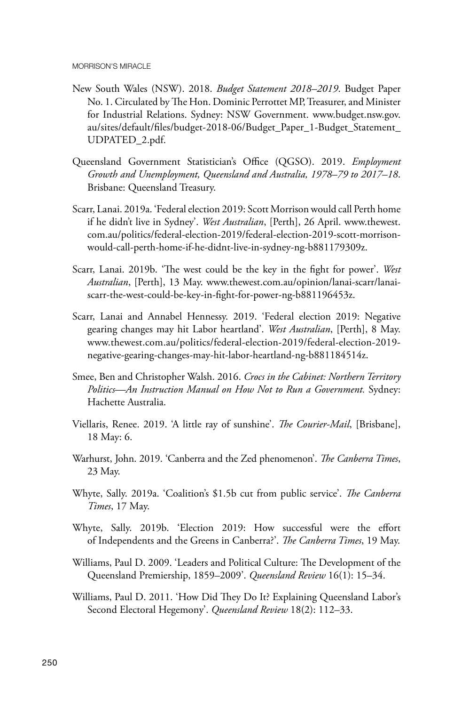- New South Wales (NSW). 2018. *Budget Statement 2018–2019*. Budget Paper No. 1. Circulated by The Hon. Dominic Perrottet MP, Treasurer, and Minister for Industrial Relations. Sydney: NSW Government. www.budget.nsw.gov. au/sites/default/files/budget-2018-06/Budget\_Paper\_1-Budget\_Statement\_ UDPATED\_2.pdf.
- Queensland Government Statistician's Office (QGSO). 2019. *Employment Growth and Unemployment, Queensland and Australia, 1978–79 to 2017–18*. Brisbane: Queensland Treasury.
- Scarr, Lanai. 2019a. 'Federal election 2019: Scott Morrison would call Perth home if he didn't live in Sydney'. *West Australian*, [Perth], 26 April. www.thewest. com.au/politics/federal-election-2019/federal-election-2019-scott-morrisonwould-call-perth-home-if-he-didnt-live-in-sydney-ng-b881179309z.
- Scarr, Lanai. 2019b. 'The west could be the key in the fight for power'. *West Australian*, [Perth], 13 May. www.thewest.com.au/opinion/lanai-scarr/lanaiscarr-the-west-could-be-key-in-fight-for-power-ng-b881196453z.
- Scarr, Lanai and Annabel Hennessy. 2019. 'Federal election 2019: Negative gearing changes may hit Labor heartland'. *West Australian*, [Perth], 8 May. www.thewest.com.au/politics/federal-election-2019/federal-election-2019 negative-gearing-changes-may-hit-labor-heartland-ng-b881184514z.
- Smee, Ben and Christopher Walsh. 2016. *Crocs in the Cabinet: Northern Territory Politics—An Instruction Manual on How Not to Run a Government.* Sydney: Hachette Australia.
- Viellaris, Renee. 2019. 'A little ray of sunshine'. *The Courier-Mail*, [Brisbane], 18 May: 6.
- Warhurst, John. 2019. 'Canberra and the Zed phenomenon'. *The Canberra Times*, 23 May.
- Whyte, Sally. 2019a. 'Coalition's \$1.5b cut from public service'. *The Canberra Times*, 17 May.
- Whyte, Sally. 2019b. 'Election 2019: How successful were the effort of Independents and the Greens in Canberra?'. *The Canberra Times*, 19 May.
- Williams, Paul D. 2009. 'Leaders and Political Culture: The Development of the Queensland Premiership, 1859–2009'. *Queensland Review* 16(1): 15–34.
- Williams, Paul D. 2011. 'How Did They Do It? Explaining Queensland Labor's Second Electoral Hegemony'. *Queensland Review* 18(2): 112–33.